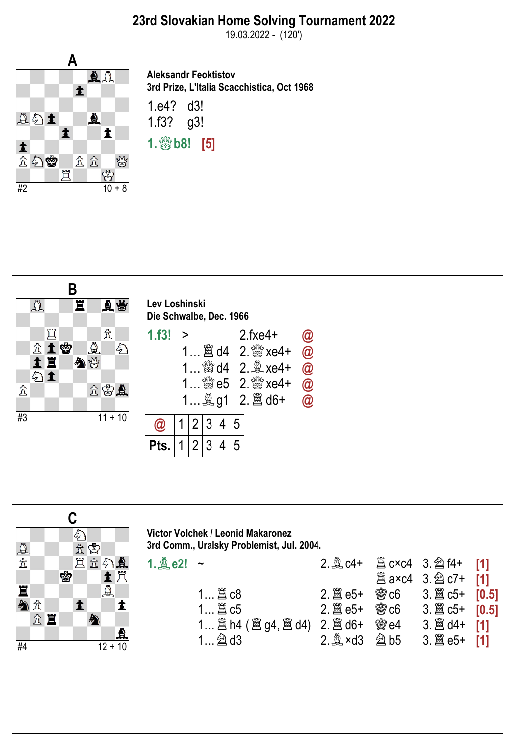19.03.2022 - (120')



Aleksandr Feoktistov 3rd Prize, L'Italia Scacchistica, Oct 1968 1.e4? d3! 1.f3? g3!  $1.$   $80$   $1.5$ ]





Victor Volchek / Leonid Makaronez 3rd Comm., Uralsky Problemist, Jul. 2004.

| 1. $2e2!$ ~ |                                                              |                | 2. $\&$ c4+ $\&$ c×c4 3. $\&$ f4+ [1]     |  |
|-------------|--------------------------------------------------------------|----------------|-------------------------------------------|--|
|             |                                                              |                | <b>闔a×c4</b> 3. 2 c7+ [1]                 |  |
|             |                                                              |                |                                           |  |
|             |                                                              |                |                                           |  |
|             |                                                              | 会 $\otimes$ e4 | 3. $\hat{\mathbb{E}}$ d4+ [1]             |  |
|             | $2 \nvert \nvert$ $\infty$ xd3 $\nvert$ $\nvert$ $\infty$ b5 |                | $3.\n  2\n  3\n  2\n  6\n  6\n  1\n  1\n$ |  |
|             |                                                              |                |                                           |  |